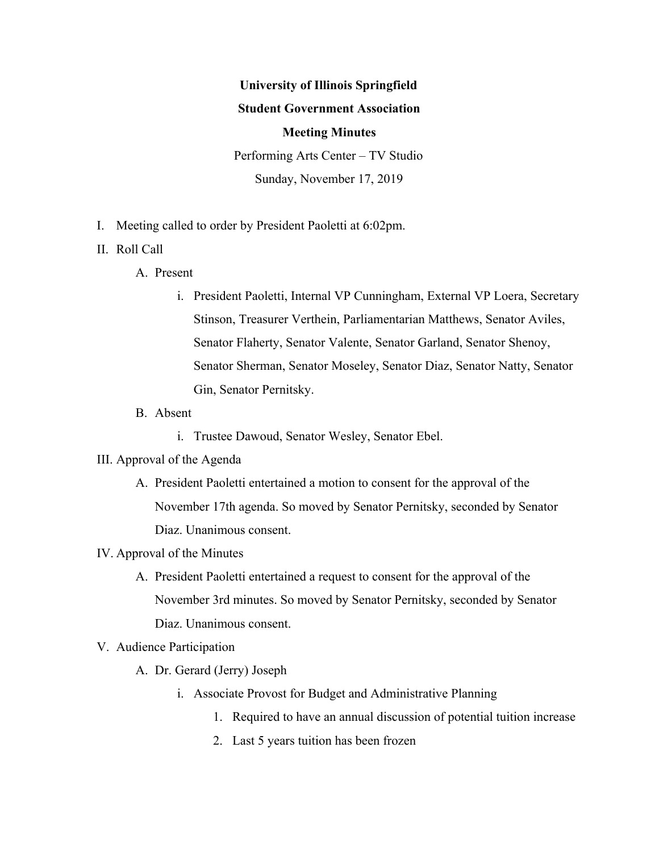# **University of Illinois Springfield Student Government Association Meeting Minutes** Performing Arts Center – TV Studio

Sunday, November 17, 2019

- I. Meeting called to order by President Paoletti at 6:02pm.
- II. Roll Call
	- A. Present
		- i. President Paoletti, Internal VP Cunningham, External VP Loera, Secretary Stinson, Treasurer Verthein, Parliamentarian Matthews, Senator Aviles, Senator Flaherty, Senator Valente, Senator Garland, Senator Shenoy, Senator Sherman, Senator Moseley, Senator Diaz, Senator Natty, Senator Gin, Senator Pernitsky.
	- B. Absent
		- i. Trustee Dawoud, Senator Wesley, Senator Ebel.
- III. Approval of the Agenda
	- A. President Paoletti entertained a motion to consent for the approval of the November 17th agenda. So moved by Senator Pernitsky, seconded by Senator Diaz. Unanimous consent.
- IV. Approval of the Minutes
	- A. President Paoletti entertained a request to consent for the approval of the November 3rd minutes. So moved by Senator Pernitsky, seconded by Senator Diaz. Unanimous consent.
- V. Audience Participation
	- A. Dr. Gerard (Jerry) Joseph
		- i. Associate Provost for Budget and Administrative Planning
			- 1. Required to have an annual discussion of potential tuition increase
			- 2. Last 5 years tuition has been frozen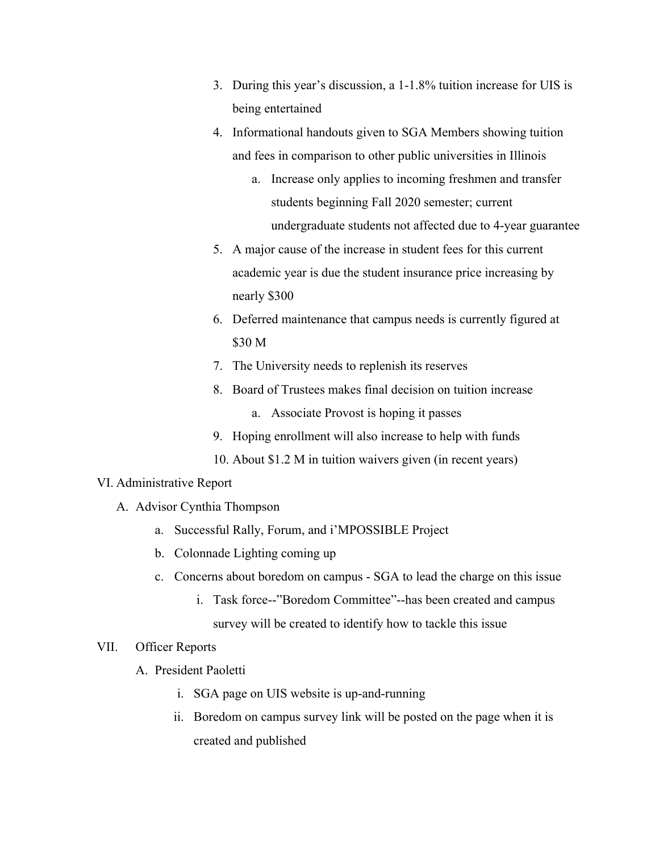- 3. During this year's discussion, a 1-1.8% tuition increase for UIS is being entertained
- 4. Informational handouts given to SGA Members showing tuition and fees in comparison to other public universities in Illinois
	- a. Increase only applies to incoming freshmen and transfer students beginning Fall 2020 semester; current undergraduate students not affected due to 4-year guarantee
- 5. A major cause of the increase in student fees for this current academic year is due the student insurance price increasing by nearly \$300
- 6. Deferred maintenance that campus needs is currently figured at \$30 M
- 7. The University needs to replenish its reserves
- 8. Board of Trustees makes final decision on tuition increase
	- a. Associate Provost is hoping it passes
- 9. Hoping enrollment will also increase to help with funds
- 10. About \$1.2 M in tuition waivers given (in recent years)

#### VI. Administrative Report

- A. Advisor Cynthia Thompson
	- a. Successful Rally, Forum, and i'MPOSSIBLE Project
	- b. Colonnade Lighting coming up
	- c. Concerns about boredom on campus SGA to lead the charge on this issue
		- i. Task force--"Boredom Committee"--has been created and campus survey will be created to identify how to tackle this issue

# VII. Officer Reports

- A. President Paoletti
	- i. SGA page on UIS website is up-and-running
	- ii. Boredom on campus survey link will be posted on the page when it is created and published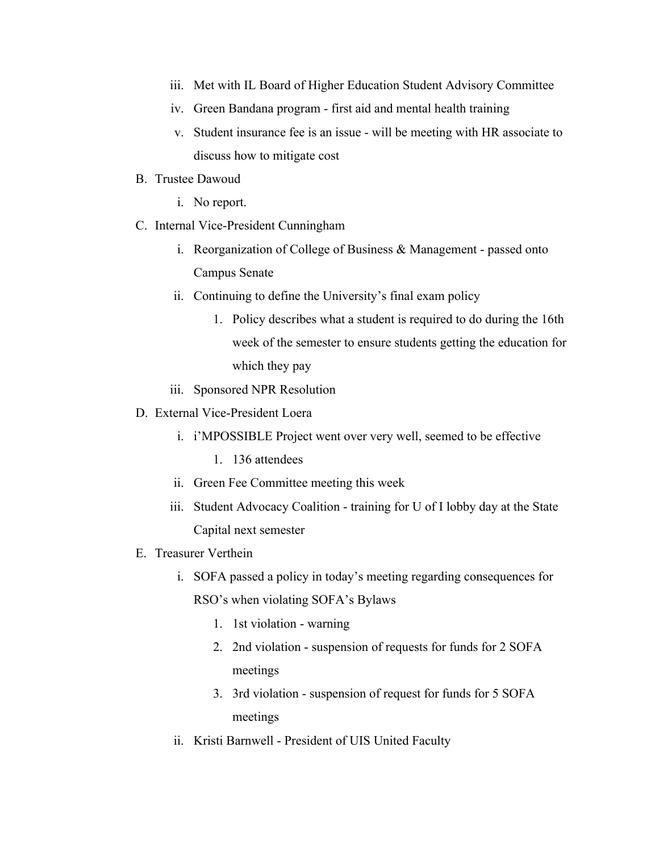- iii. Met with IL Board of Higher Education Student Advisory Committee
- iv. Green Bandana program first aid and mental health training
- v. Student insurance fee is an issue will be meeting with HR associate to discuss how to mitigate cost
- B. Trustee Dawoud
	- i. No report.
- C. Internal Vice-President Cunningham
	- i. Reorganization of College of Business & Management passed onto Campus Senate
	- ii. Continuing to define the University's final exam policy
		- 1. Policy describes what a student is required to do during the 16th week of the semester to ensure students getting the education for which they pay
	- iii. Sponsored NPR Resolution
- D. External Vice-President Loera
	- i. i'MPOSSIBLE Project went over very well, seemed to be effective
		- 1. 136 attendees
	- ii. Green Fee Committee meeting this week
	- iii. Student Advocacy Coalition training for U of I lobby day at the State Capital next semester
- E. Treasurer Verthein
	- i. SOFA passed a policy in today's meeting regarding consequences for RSO's when violating SOFA's Bylaws
		- 1. 1st violation warning
		- 2. 2nd violation suspension of requests for funds for 2 SOFA meetings
		- 3. 3rd violation suspension of request for funds for 5 SOFA meetings
	- ii. Kristi Barnwell President of UIS United Faculty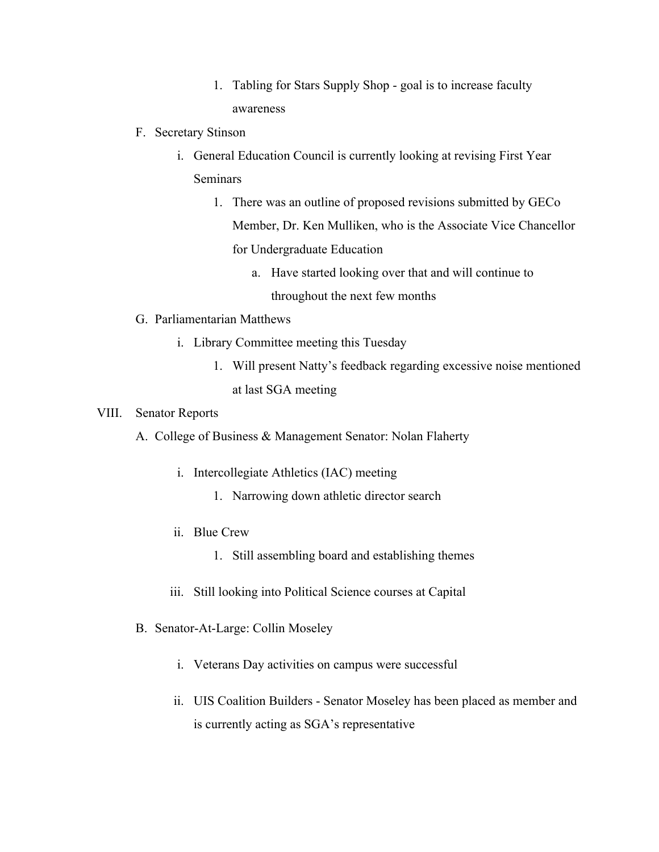- 1. Tabling for Stars Supply Shop goal is to increase faculty awareness
- F. Secretary Stinson
	- i. General Education Council is currently looking at revising First Year Seminars
		- 1. There was an outline of proposed revisions submitted by GECo Member, Dr. Ken Mulliken, who is the Associate Vice Chancellor for Undergraduate Education
			- a. Have started looking over that and will continue to throughout the next few months
- G. Parliamentarian Matthews
	- i. Library Committee meeting this Tuesday
		- 1. Will present Natty's feedback regarding excessive noise mentioned at last SGA meeting

### VIII. Senator Reports

- A. College of Business & Management Senator: Nolan Flaherty
	- i. Intercollegiate Athletics (IAC) meeting
		- 1. Narrowing down athletic director search
	- ii. Blue Crew
		- 1. Still assembling board and establishing themes
	- iii. Still looking into Political Science courses at Capital
- B. Senator-At-Large: Collin Moseley
	- i. Veterans Day activities on campus were successful
	- ii. UIS Coalition Builders Senator Moseley has been placed as member and is currently acting as SGA's representative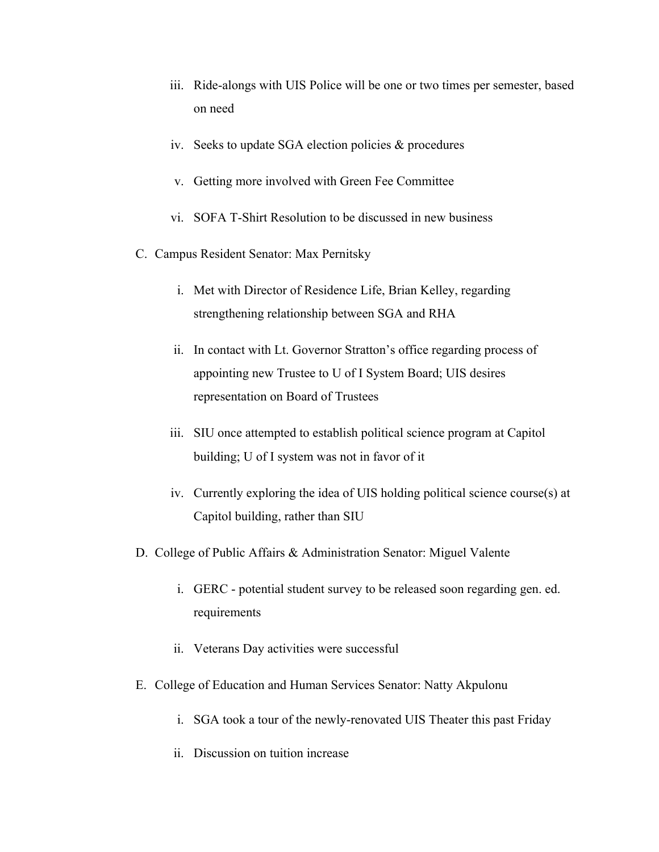- iii. Ride-alongs with UIS Police will be one or two times per semester, based on need
- iv. Seeks to update SGA election policies & procedures
- v. Getting more involved with Green Fee Committee
- vi. SOFA T-Shirt Resolution to be discussed in new business
- C. Campus Resident Senator: Max Pernitsky
	- i. Met with Director of Residence Life, Brian Kelley, regarding strengthening relationship between SGA and RHA
	- ii. In contact with Lt. Governor Stratton's office regarding process of appointing new Trustee to U of I System Board; UIS desires representation on Board of Trustees
	- iii. SIU once attempted to establish political science program at Capitol building; U of I system was not in favor of it
	- iv. Currently exploring the idea of UIS holding political science course(s) at Capitol building, rather than SIU
- D. College of Public Affairs & Administration Senator: Miguel Valente
	- i. GERC potential student survey to be released soon regarding gen. ed. requirements
	- ii. Veterans Day activities were successful
- E. College of Education and Human Services Senator: Natty Akpulonu
	- i. SGA took a tour of the newly-renovated UIS Theater this past Friday
	- ii. Discussion on tuition increase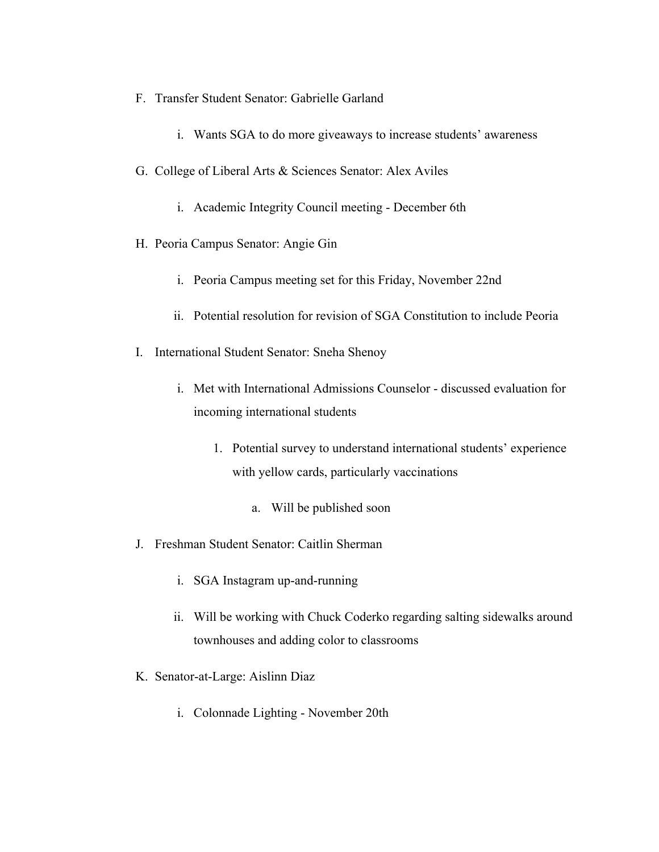- F. Transfer Student Senator: Gabrielle Garland
	- i. Wants SGA to do more giveaways to increase students' awareness
- G. College of Liberal Arts & Sciences Senator: Alex Aviles
	- i. Academic Integrity Council meeting December 6th
- H. Peoria Campus Senator: Angie Gin
	- i. Peoria Campus meeting set for this Friday, November 22nd
	- ii. Potential resolution for revision of SGA Constitution to include Peoria
- I. International Student Senator: Sneha Shenoy
	- i. Met with International Admissions Counselor discussed evaluation for incoming international students
		- 1. Potential survey to understand international students' experience with yellow cards, particularly vaccinations
			- a. Will be published soon
- J. Freshman Student Senator: Caitlin Sherman
	- i. SGA Instagram up-and-running
	- ii. Will be working with Chuck Coderko regarding salting sidewalks around townhouses and adding color to classrooms
- K. Senator-at-Large: Aislinn Diaz
	- i. Colonnade Lighting November 20th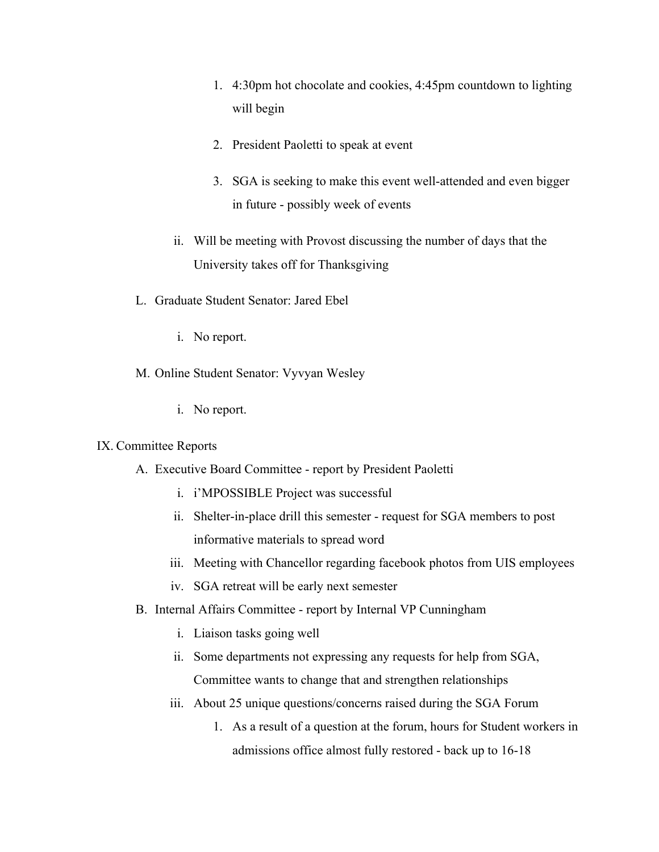- 1. 4:30pm hot chocolate and cookies, 4:45pm countdown to lighting will begin
- 2. President Paoletti to speak at event
- 3. SGA is seeking to make this event well-attended and even bigger in future - possibly week of events
- ii. Will be meeting with Provost discussing the number of days that the University takes off for Thanksgiving
- L. Graduate Student Senator: Jared Ebel
	- i. No report.
- M. Online Student Senator: Vyvyan Wesley
	- i. No report.

#### IX. Committee Reports

- A. Executive Board Committee report by President Paoletti
	- i. i'MPOSSIBLE Project was successful
	- ii. Shelter-in-place drill this semester request for SGA members to post informative materials to spread word
	- iii. Meeting with Chancellor regarding facebook photos from UIS employees
	- iv. SGA retreat will be early next semester
- B. Internal Affairs Committee report by Internal VP Cunningham
	- i. Liaison tasks going well
	- ii. Some departments not expressing any requests for help from SGA, Committee wants to change that and strengthen relationships
	- iii. About 25 unique questions/concerns raised during the SGA Forum
		- 1. As a result of a question at the forum, hours for Student workers in admissions office almost fully restored - back up to 16-18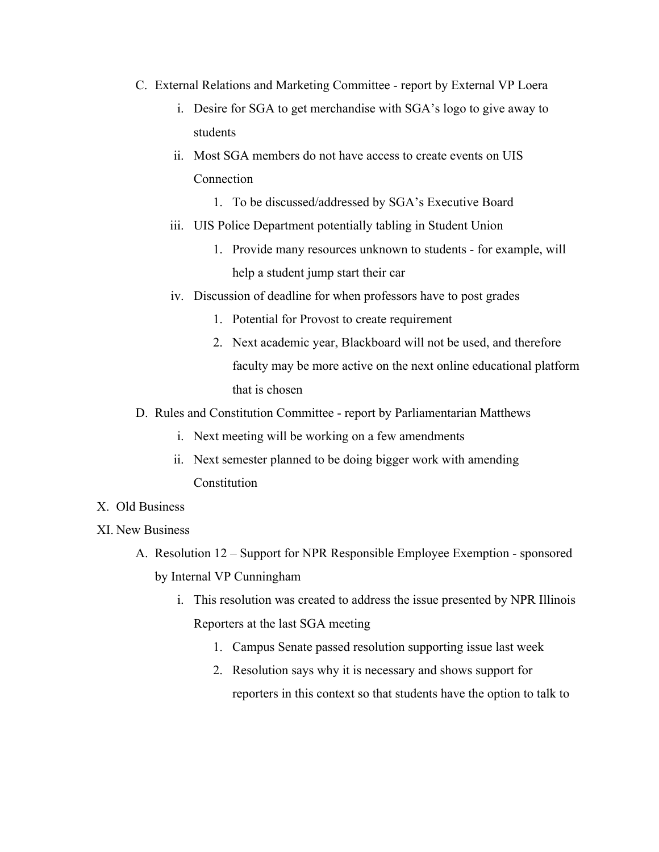- C. External Relations and Marketing Committee report by External VP Loera
	- i. Desire for SGA to get merchandise with SGA's logo to give away to students
	- ii. Most SGA members do not have access to create events on UIS Connection
		- 1. To be discussed/addressed by SGA's Executive Board
	- iii. UIS Police Department potentially tabling in Student Union
		- 1. Provide many resources unknown to students for example, will help a student jump start their car
	- iv. Discussion of deadline for when professors have to post grades
		- 1. Potential for Provost to create requirement
		- 2. Next academic year, Blackboard will not be used, and therefore faculty may be more active on the next online educational platform that is chosen
- D. Rules and Constitution Committee report by Parliamentarian Matthews
	- i. Next meeting will be working on a few amendments
	- ii. Next semester planned to be doing bigger work with amending **Constitution**
- X. Old Business
- XI. New Business
	- A. Resolution 12 Support for NPR Responsible Employee Exemption sponsored by Internal VP Cunningham
		- i. This resolution was created to address the issue presented by NPR Illinois Reporters at the last SGA meeting
			- 1. Campus Senate passed resolution supporting issue last week
			- 2. Resolution says why it is necessary and shows support for reporters in this context so that students have the option to talk to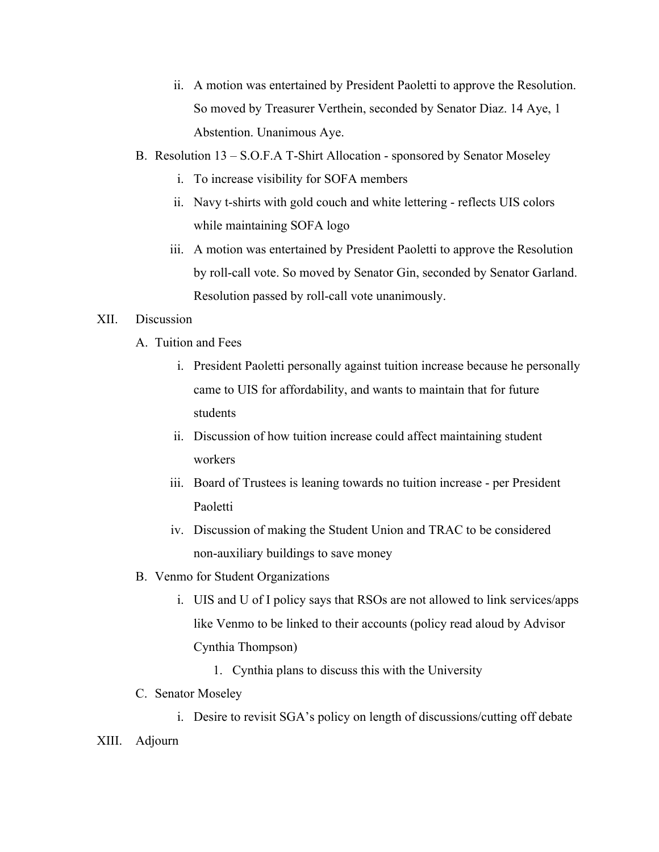- ii. A motion was entertained by President Paoletti to approve the Resolution. So moved by Treasurer Verthein, seconded by Senator Diaz. 14 Aye, 1 Abstention. Unanimous Aye.
- B. Resolution 13 S.O.F.A T-Shirt Allocation sponsored by Senator Moseley
	- i. To increase visibility for SOFA members
	- ii. Navy t-shirts with gold couch and white lettering reflects UIS colors while maintaining SOFA logo
	- iii. A motion was entertained by President Paoletti to approve the Resolution by roll-call vote. So moved by Senator Gin, seconded by Senator Garland. Resolution passed by roll-call vote unanimously.

## XII. Discussion

- A. Tuition and Fees
	- i. President Paoletti personally against tuition increase because he personally came to UIS for affordability, and wants to maintain that for future students
	- ii. Discussion of how tuition increase could affect maintaining student workers
	- iii. Board of Trustees is leaning towards no tuition increase per President Paoletti
	- iv. Discussion of making the Student Union and TRAC to be considered non-auxiliary buildings to save money
- B. Venmo for Student Organizations
	- i. UIS and U of I policy says that RSOs are not allowed to link services/apps like Venmo to be linked to their accounts (policy read aloud by Advisor Cynthia Thompson)
		- 1. Cynthia plans to discuss this with the University
- C. Senator Moseley

i. Desire to revisit SGA's policy on length of discussions/cutting off debate XIII. Adjourn